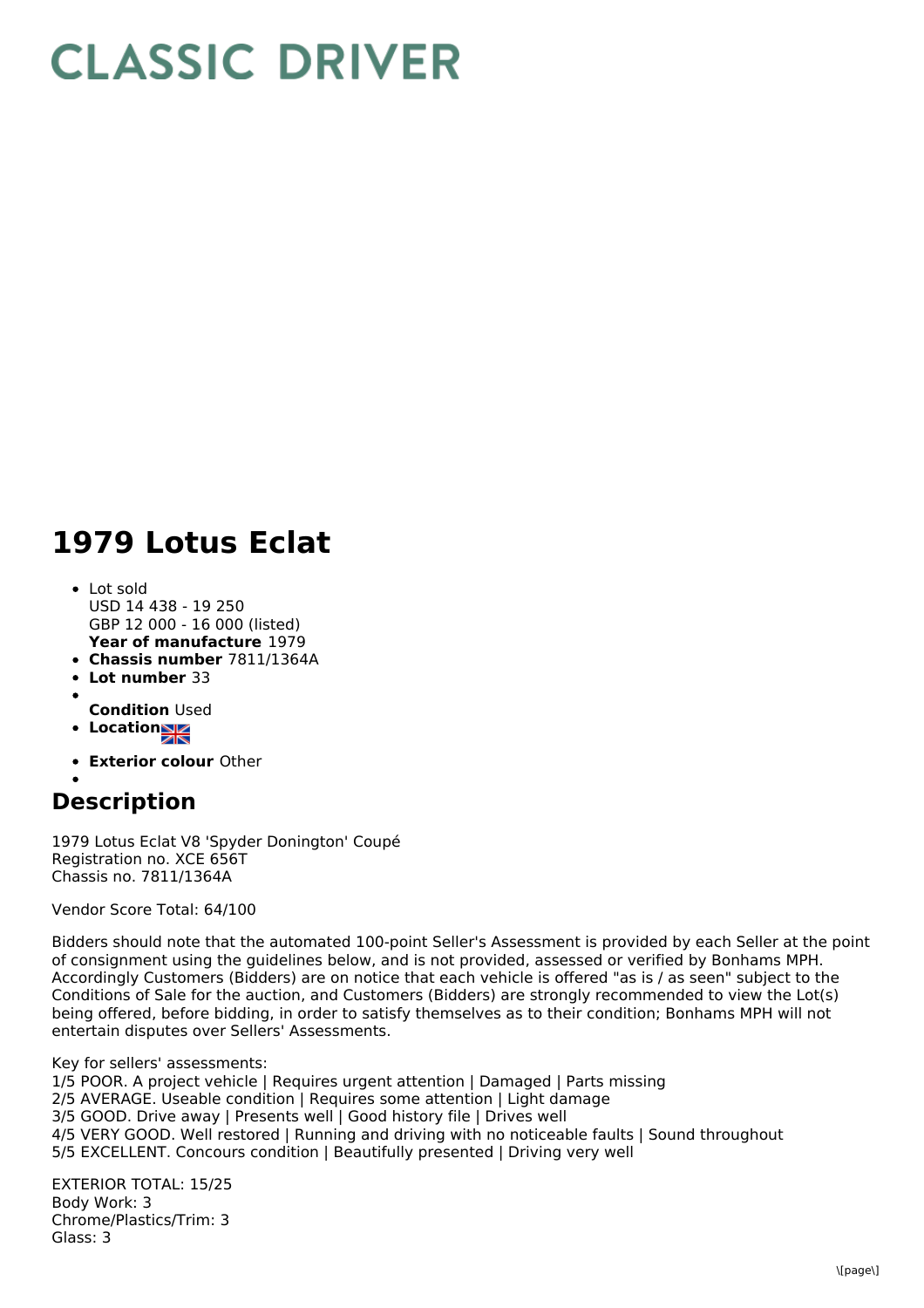## **CLASSIC DRIVER**

## **1979 Lotus Eclat**

- **Year of manufacture** 1979 Lot sold USD 14 438 - 19 250 GBP 12 000 - 16 000 (listed)
- **Chassis number** 7811/1364A
- **Lot number** 33
- **Condition** Used
- **Location**
- 
- **Exterior colour** Other

## **Description**

1979 Lotus Eclat V8 'Spyder Donington' Coupé Registration no. XCE 656T Chassis no. 7811/1364A

Vendor Score Total: 64/100

Bidders should note that the automated 100-point Seller's Assessment is provided by each Seller at the point of consignment using the guidelines below, and is not provided, assessed or verified by Bonhams MPH. Accordingly Customers (Bidders) are on notice that each vehicle is offered "as is / as seen" subject to the Conditions of Sale for the auction, and Customers (Bidders) are strongly recommended to view the Lot(s) being offered, before bidding, in order to satisfy themselves as to their condition; Bonhams MPH will not entertain disputes over Sellers' Assessments.

Key for sellers' assessments: 1/5 POOR. A project vehicle | Requires urgent attention | Damaged | Parts missing 2/5 AVERAGE. Useable condition | Requires some attention | Light damage 3/5 GOOD. Drive away | Presents well | Good history file | Drives well 4/5 VERY GOOD. Well restored | Running and driving with no noticeable faults | Sound throughout 5/5 EXCELLENT. Concours condition | Beautifully presented | Driving very well

EXTERIOR TOTAL: 15/25 Body Work: 3 Chrome/Plastics/Trim: 3 Glass: 3